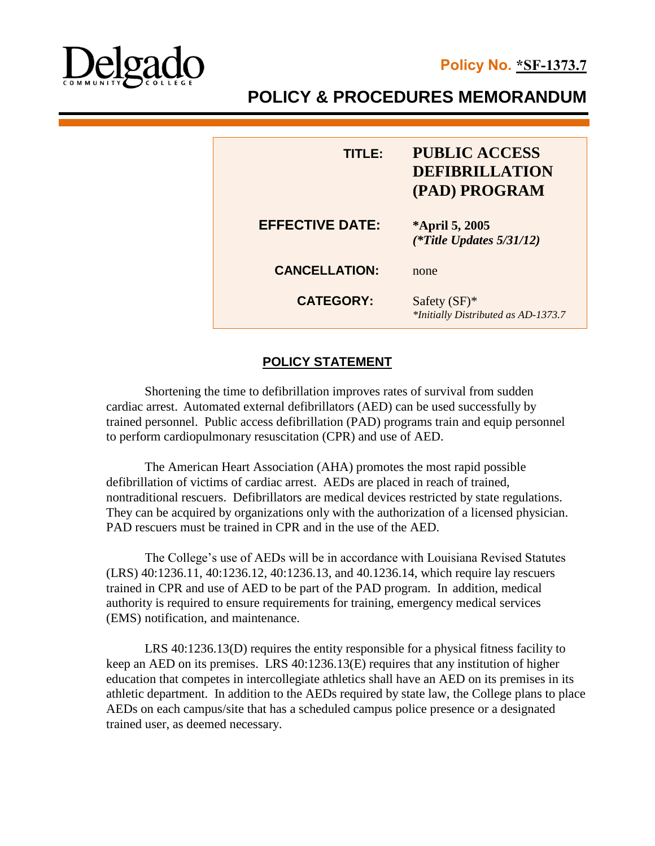

# **POLICY & PROCEDURES MEMORANDUM**

| TITI E:                | <b>PUBLIC ACCESS</b><br><b>DEFIBRILLATION</b><br>(PAD) PROGRAM |
|------------------------|----------------------------------------------------------------|
| <b>EFFECTIVE DATE:</b> | *April 5, 2005<br>(*Title Updates $5/31/12$ )                  |
| <b>CANCELLATION:</b>   | none                                                           |
| <b>CATEGORY:</b>       | Safety $(SF)^*$<br>*Initially Distributed as AD-1373.7         |

# **POLICY STATEMENT**

Shortening the time to defibrillation improves rates of survival from sudden cardiac arrest. Automated external defibrillators (AED) can be used successfully by trained personnel. Public access defibrillation (PAD) programs train and equip personnel to perform cardiopulmonary resuscitation (CPR) and use of AED.

The American Heart Association (AHA) promotes the most rapid possible defibrillation of victims of cardiac arrest. AEDs are placed in reach of trained, nontraditional rescuers. Defibrillators are medical devices restricted by state regulations. They can be acquired by organizations only with the authorization of a licensed physician. PAD rescuers must be trained in CPR and in the use of the AED.

The College's use of AEDs will be in accordance with Louisiana Revised Statutes (LRS) 40:1236.11, 40:1236.12, 40:1236.13, and 40.1236.14, which require lay rescuers trained in CPR and use of AED to be part of the PAD program. In addition, medical authority is required to ensure requirements for training, emergency medical services (EMS) notification, and maintenance.

LRS 40:1236.13(D) requires the entity responsible for a physical fitness facility to keep an AED on its premises. LRS 40:1236.13(E) requires that any institution of higher education that competes in intercollegiate athletics shall have an AED on its premises in its athletic department. In addition to the AEDs required by state law, the College plans to place AEDs on each campus/site that has a scheduled campus police presence or a designated trained user, as deemed necessary.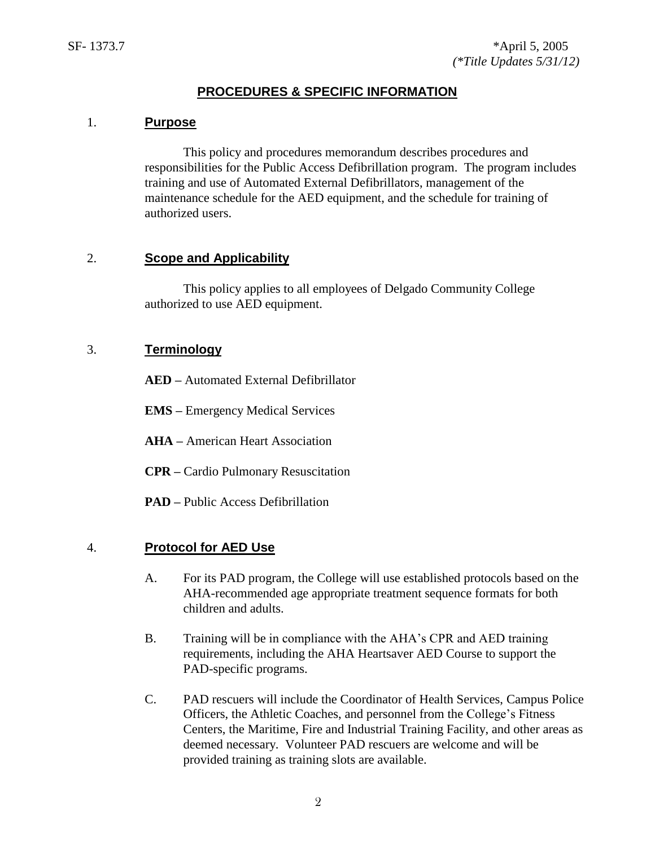## **PROCEDURES & SPECIFIC INFORMATION**

#### 1. **Purpose**

This policy and procedures memorandum describes procedures and responsibilities for the Public Access Defibrillation program. The program includes training and use of Automated External Defibrillators, management of the maintenance schedule for the AED equipment, and the schedule for training of authorized users.

### 2. **Scope and Applicability**

This policy applies to all employees of Delgado Community College authorized to use AED equipment.

## 3. **Terminology**

**AED –** Automated External Defibrillator

**EMS –** Emergency Medical Services

**AHA –** American Heart Association

**CPR –** Cardio Pulmonary Resuscitation

**PAD –** Public Access Defibrillation

#### 4. **Protocol for AED Use**

- A. For its PAD program, the College will use established protocols based on the AHA-recommended age appropriate treatment sequence formats for both children and adults.
- B. Training will be in compliance with the AHA's CPR and AED training requirements, including the AHA Heartsaver AED Course to support the PAD-specific programs.
- C. PAD rescuers will include the Coordinator of Health Services, Campus Police Officers, the Athletic Coaches, and personnel from the College's Fitness Centers, the Maritime, Fire and Industrial Training Facility, and other areas as deemed necessary. Volunteer PAD rescuers are welcome and will be provided training as training slots are available.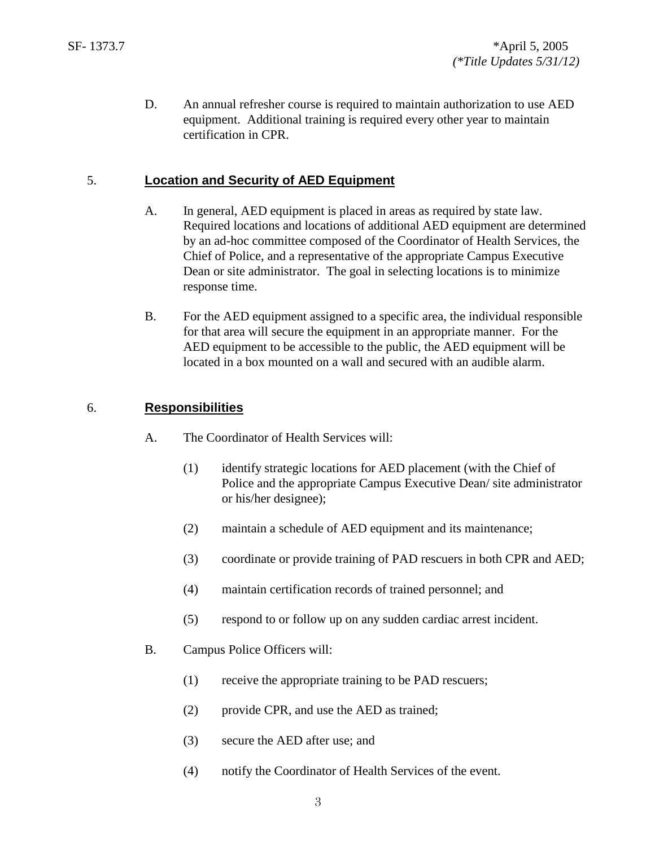D. An annual refresher course is required to maintain authorization to use AED equipment. Additional training is required every other year to maintain certification in CPR.

## 5. **Location and Security of AED Equipment**

- A. In general, AED equipment is placed in areas as required by state law. Required locations and locations of additional AED equipment are determined by an ad-hoc committee composed of the Coordinator of Health Services, the Chief of Police, and a representative of the appropriate Campus Executive Dean or site administrator. The goal in selecting locations is to minimize response time.
- B. For the AED equipment assigned to a specific area, the individual responsible for that area will secure the equipment in an appropriate manner. For the AED equipment to be accessible to the public, the AED equipment will be located in a box mounted on a wall and secured with an audible alarm.

## 6. **Responsibilities**

- A. The Coordinator of Health Services will:
	- (1) identify strategic locations for AED placement (with the Chief of Police and the appropriate Campus Executive Dean/ site administrator or his/her designee);
	- (2) maintain a schedule of AED equipment and its maintenance;
	- (3) coordinate or provide training of PAD rescuers in both CPR and AED;
	- (4) maintain certification records of trained personnel; and
	- (5) respond to or follow up on any sudden cardiac arrest incident.
- B. Campus Police Officers will:
	- (1) receive the appropriate training to be PAD rescuers;
	- (2) provide CPR, and use the AED as trained;
	- (3) secure the AED after use; and
	- (4) notify the Coordinator of Health Services of the event.